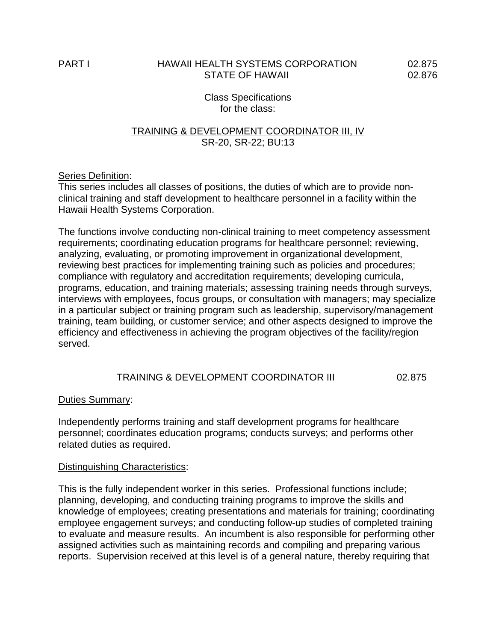## PART I HAWAII HEALTH SYSTEMS CORPORATION 02.875 STATE OF HAWAII 02.876

Class Specifications for the class:

## TRAINING & DEVELOPMENT COORDINATOR III, IV SR-20, SR-22; BU:13

## Series Definition:

This series includes all classes of positions, the duties of which are to provide nonclinical training and staff development to healthcare personnel in a facility within the Hawaii Health Systems Corporation.

The functions involve conducting non-clinical training to meet competency assessment requirements; coordinating education programs for healthcare personnel; reviewing, analyzing, evaluating, or promoting improvement in organizational development, reviewing best practices for implementing training such as policies and procedures; compliance with regulatory and accreditation requirements; developing curricula, programs, education, and training materials; assessing training needs through surveys, interviews with employees, focus groups, or consultation with managers; may specialize in a particular subject or training program such as leadership, supervisory/management training, team building, or customer service; and other aspects designed to improve the efficiency and effectiveness in achieving the program objectives of the facility/region served.

## TRAINING & DEVELOPMENT COORDINATOR III 02.875

## Duties Summary:

Independently performs training and staff development programs for healthcare personnel; coordinates education programs; conducts surveys; and performs other related duties as required.

#### Distinguishing Characteristics:

This is the fully independent worker in this series. Professional functions include; planning, developing, and conducting training programs to improve the skills and knowledge of employees; creating presentations and materials for training; coordinating employee engagement surveys; and conducting follow-up studies of completed training to evaluate and measure results. An incumbent is also responsible for performing other assigned activities such as maintaining records and compiling and preparing various reports. Supervision received at this level is of a general nature, thereby requiring that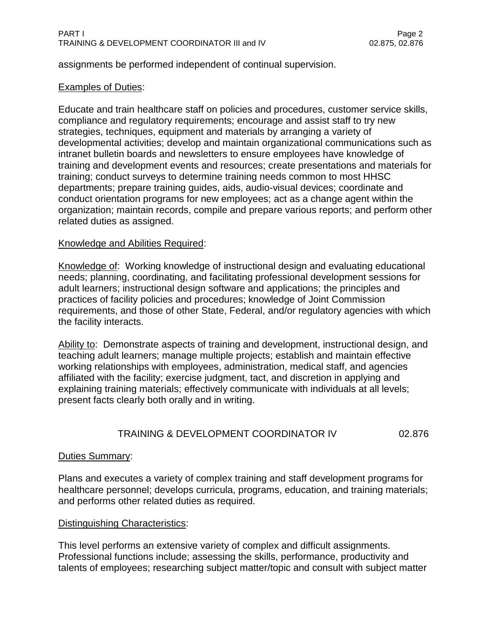assignments be performed independent of continual supervision.

# **Examples of Duties:**

Educate and train healthcare staff on policies and procedures, customer service skills, compliance and regulatory requirements; encourage and assist staff to try new strategies, techniques, equipment and materials by arranging a variety of developmental activities; develop and maintain organizational communications such as intranet bulletin boards and newsletters to ensure employees have knowledge of training and development events and resources; create presentations and materials for training; conduct surveys to determine training needs common to most HHSC departments; prepare training guides, aids, audio-visual devices; coordinate and conduct orientation programs for new employees; act as a change agent within the organization; maintain records, compile and prepare various reports; and perform other related duties as assigned.

## Knowledge and Abilities Required:

Knowledge of: Working knowledge of instructional design and evaluating educational needs; planning, coordinating, and facilitating professional development sessions for adult learners; instructional design software and applications; the principles and practices of facility policies and procedures; knowledge of Joint Commission requirements, and those of other State, Federal, and/or regulatory agencies with which the facility interacts.

Ability to: Demonstrate aspects of training and development, instructional design, and teaching adult learners; manage multiple projects; establish and maintain effective working relationships with employees, administration, medical staff, and agencies affiliated with the facility; exercise judgment, tact, and discretion in applying and explaining training materials; effectively communicate with individuals at all levels; present facts clearly both orally and in writing.

# TRAINING & DEVELOPMENT COORDINATOR IV 02.876

## Duties Summary:

Plans and executes a variety of complex training and staff development programs for healthcare personnel; develops curricula, programs, education, and training materials; and performs other related duties as required.

# Distinguishing Characteristics:

This level performs an extensive variety of complex and difficult assignments. Professional functions include; assessing the skills, performance, productivity and talents of employees; researching subject matter/topic and consult with subject matter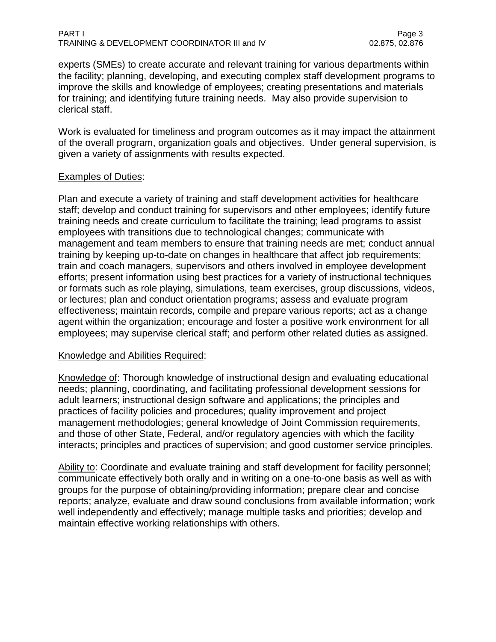#### PART I Page 3 TRAINING & DEVELOPMENT COORDINATOR III and IV 02.875, 02.875, 02.876

experts (SMEs) to create accurate and relevant training for various departments within the facility; planning, developing, and executing complex staff development programs to improve the skills and knowledge of employees; creating presentations and materials for training; and identifying future training needs. May also provide supervision to clerical staff.

Work is evaluated for timeliness and program outcomes as it may impact the attainment of the overall program, organization goals and objectives. Under general supervision, is given a variety of assignments with results expected.

## Examples of Duties:

Plan and execute a variety of training and staff development activities for healthcare staff; develop and conduct training for supervisors and other employees; identify future training needs and create curriculum to facilitate the training; lead programs to assist employees with transitions due to technological changes; communicate with management and team members to ensure that training needs are met; conduct annual training by keeping up-to-date on changes in healthcare that affect job requirements; train and coach managers, supervisors and others involved in employee development efforts; present information using best practices for a variety of instructional techniques or formats such as role playing, simulations, team exercises, group discussions, videos, or lectures; plan and conduct orientation programs; assess and evaluate program effectiveness; maintain records, compile and prepare various reports; act as a change agent within the organization; encourage and foster a positive work environment for all employees; may supervise clerical staff; and perform other related duties as assigned.

## Knowledge and Abilities Required:

Knowledge of: Thorough knowledge of instructional design and evaluating educational needs; planning, coordinating, and facilitating professional development sessions for adult learners; instructional design software and applications; the principles and practices of facility policies and procedures; quality improvement and project management methodologies; general knowledge of Joint Commission requirements, and those of other State, Federal, and/or regulatory agencies with which the facility interacts; principles and practices of supervision; and good customer service principles.

Ability to: Coordinate and evaluate training and staff development for facility personnel; communicate effectively both orally and in writing on a one-to-one basis as well as with groups for the purpose of obtaining/providing information; prepare clear and concise reports; analyze, evaluate and draw sound conclusions from available information; work well independently and effectively; manage multiple tasks and priorities; develop and maintain effective working relationships with others.